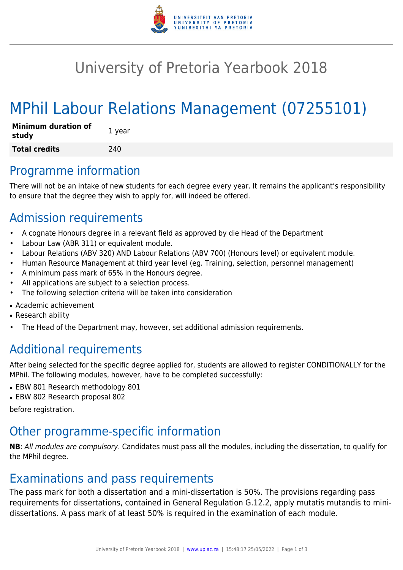

## University of Pretoria Yearbook 2018

# MPhil Labour Relations Management (07255101)

| <b>Minimum duration of</b><br>study | 1 year |
|-------------------------------------|--------|
| <b>Total credits</b>                | 240    |

#### Programme information

There will not be an intake of new students for each degree every year. It remains the applicant's responsibility to ensure that the degree they wish to apply for, will indeed be offered.

### Admission requirements

- A cognate Honours degree in a relevant field as approved by die Head of the Department
- Labour Law (ABR 311) or equivalent module.
- Labour Relations (ABV 320) AND Labour Relations (ABV 700) (Honours level) or equivalent module.
- Human Resource Management at third year level (eg. Training, selection, personnel management)
- A minimum pass mark of 65% in the Honours degree.
- All applications are subject to a selection process.
- The following selection criteria will be taken into consideration
- Academic achievement
- Research ability
- The Head of the Department may, however, set additional admission requirements.

## Additional requirements

After being selected for the specific degree applied for, students are allowed to register CONDITIONALLY for the MPhil. The following modules, however, have to be completed successfully:

- EBW 801 Research methodology 801
- EBW 802 Research proposal 802

before registration.

#### Other programme-specific information

**NB**: All modules are compulsory. Candidates must pass all the modules, including the dissertation, to qualify for the MPhil degree.

#### Examinations and pass requirements

The pass mark for both a dissertation and a mini-dissertation is 50%. The provisions regarding pass requirements for dissertations, contained in General Regulation G.12.2, apply mutatis mutandis to minidissertations. A pass mark of at least 50% is required in the examination of each module.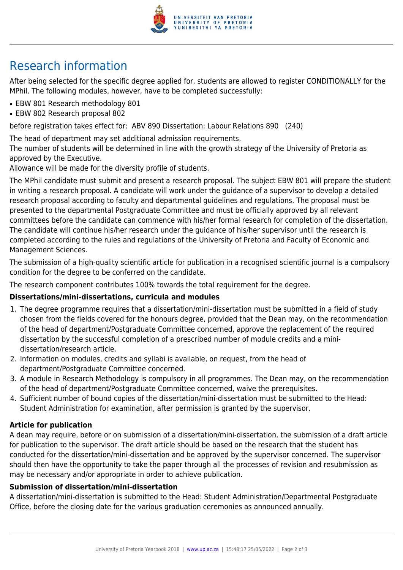

## Research information

After being selected for the specific degree applied for, students are allowed to register CONDITIONALLY for the MPhil. The following modules, however, have to be completed successfully:

- EBW 801 Research methodology 801
- EBW 802 Research proposal 802

before registration takes effect for: ABV 890 Dissertation: Labour Relations 890 (240)

The head of department may set additional admission requirements.

The number of students will be determined in line with the growth strategy of the University of Pretoria as approved by the Executive.

Allowance will be made for the diversity profile of students.

The MPhil candidate must submit and present a research proposal. The subject EBW 801 will prepare the student in writing a research proposal. A candidate will work under the guidance of a supervisor to develop a detailed research proposal according to faculty and departmental guidelines and regulations. The proposal must be presented to the departmental Postgraduate Committee and must be officially approved by all relevant committees before the candidate can commence with his/her formal research for completion of the dissertation. The candidate will continue his/her research under the guidance of his/her supervisor until the research is completed according to the rules and regulations of the University of Pretoria and Faculty of Economic and Management Sciences.

The submission of a high-quality scientific article for publication in a recognised scientific journal is a compulsory condition for the degree to be conferred on the candidate.

The research component contributes 100% towards the total requirement for the degree.

#### **Dissertations/mini-dissertations, curricula and modules**

- 1. The degree programme requires that a dissertation/mini-dissertation must be submitted in a field of study chosen from the fields covered for the honours degree, provided that the Dean may, on the recommendation of the head of department/Postgraduate Committee concerned, approve the replacement of the required dissertation by the successful completion of a prescribed number of module credits and a minidissertation/research article.
- 2. Information on modules, credits and syllabi is available, on request, from the head of department/Postgraduate Committee concerned.
- 3. A module in Research Methodology is compulsory in all programmes. The Dean may, on the recommendation of the head of department/Postgraduate Committee concerned, waive the prerequisites.
- 4. Sufficient number of bound copies of the dissertation/mini-dissertation must be submitted to the Head: Student Administration for examination, after permission is granted by the supervisor.

#### **Article for publication**

A dean may require, before or on submission of a dissertation/mini-dissertation, the submission of a draft article for publication to the supervisor. The draft article should be based on the research that the student has conducted for the dissertation/mini-dissertation and be approved by the supervisor concerned. The supervisor should then have the opportunity to take the paper through all the processes of revision and resubmission as may be necessary and/or appropriate in order to achieve publication.

#### **Submission of dissertation/mini-dissertation**

A dissertation/mini-dissertation is submitted to the Head: Student Administration/Departmental Postgraduate Office, before the closing date for the various graduation ceremonies as announced annually.